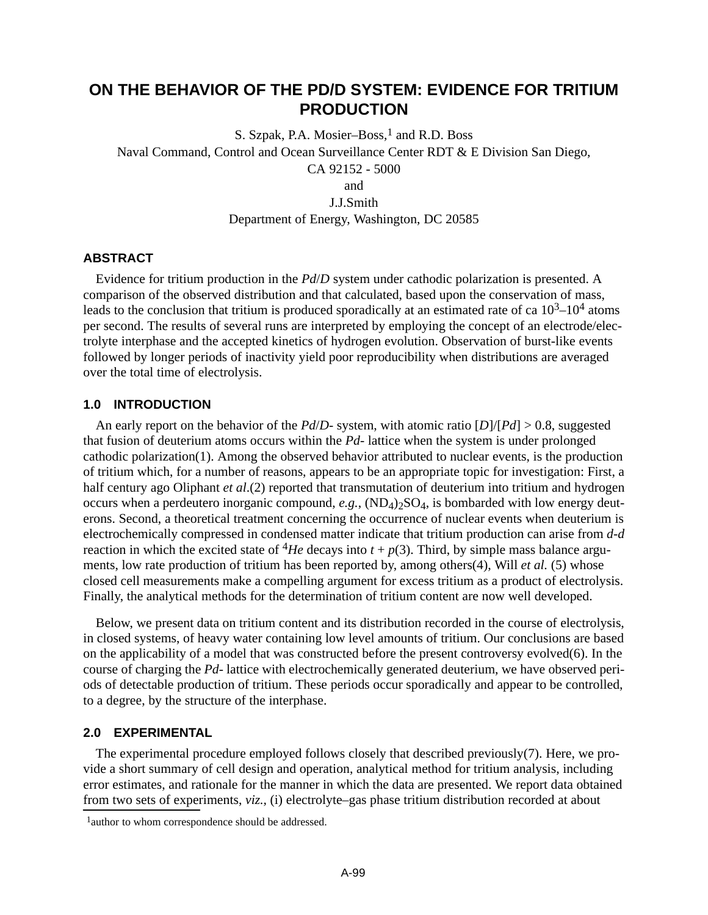# **ON THE BEHAVIOR OF THE PD/D SYSTEM: EVIDENCE FOR TRITIUM PRODUCTION**

S. Szpak, P.A. Mosier–Boss,<sup>1</sup> and R.D. Boss

Naval Command, Control and Ocean Surveillance Center RDT & E Division San Diego,

CA 92152 - 5000

and

J.J.Smith

Department of Energy, Washington, DC 20585

## **ABSTRACT**

Evidence for tritium production in the *Pd*/*D* system under cathodic polarization is presented. A comparison of the observed distribution and that calculated, based upon the conservation of mass, leads to the conclusion that tritium is produced sporadically at an estimated rate of ca  $10<sup>3</sup>–10<sup>4</sup>$  atoms per second. The results of several runs are interpreted by employing the concept of an electrode/electrolyte interphase and the accepted kinetics of hydrogen evolution. Observation of burst-like events followed by longer periods of inactivity yield poor reproducibility when distributions are averaged over the total time of electrolysis.

# **1.0 INTRODUCTION**

An early report on the behavior of the *Pd/D*- system, with atomic ratio  $[D]/[Pd] > 0.8$ , suggested that fusion of deuterium atoms occurs within the *Pd*- lattice when the system is under prolonged cathodic polarization(1). Among the observed behavior attributed to nuclear events, is the production of tritium which, for a number of reasons, appears to be an appropriate topic for investigation: First, a half century ago Oliphant *et al*.(2) reported that transmutation of deuterium into tritium and hydrogen occurs when a perdeutero inorganic compound, *e.g.*, (ND<sub>4</sub>)<sub>2</sub>SO<sub>4</sub>, is bombarded with low energy deuterons. Second, a theoretical treatment concerning the occurrence of nuclear events when deuterium is electrochemically compressed in condensed matter indicate that tritium production can arise from *d*-*d* reaction in which the excited state of  ${}^{4}He$  decays into  $t + p(3)$ . Third, by simple mass balance arguments, low rate production of tritium has been reported by, among others(4), Will *et al.* (5) whose closed cell measurements make a compelling argument for excess tritium as a product of electrolysis. Finally, the analytical methods for the determination of tritium content are now well developed.

Below, we present data on tritium content and its distribution recorded in the course of electrolysis, in closed systems, of heavy water containing low level amounts of tritium. Our conclusions are based on the applicability of a model that was constructed before the present controversy evolved(6). In the course of charging the *Pd*- lattice with electrochemically generated deuterium, we have observed periods of detectable production of tritium. These periods occur sporadically and appear to be controlled, to a degree, by the structure of the interphase.

## **2.0 EXPERIMENTAL**

The experimental procedure employed follows closely that described previously(7). Here, we provide a short summary of cell design and operation, analytical method for tritium analysis, including error estimates, and rationale for the manner in which the data are presented. We report data obtained from two sets of experiments, *viz.,* (i) electrolyte–gas phase tritium distribution recorded at about

<sup>1</sup>author to whom correspondence should be addressed.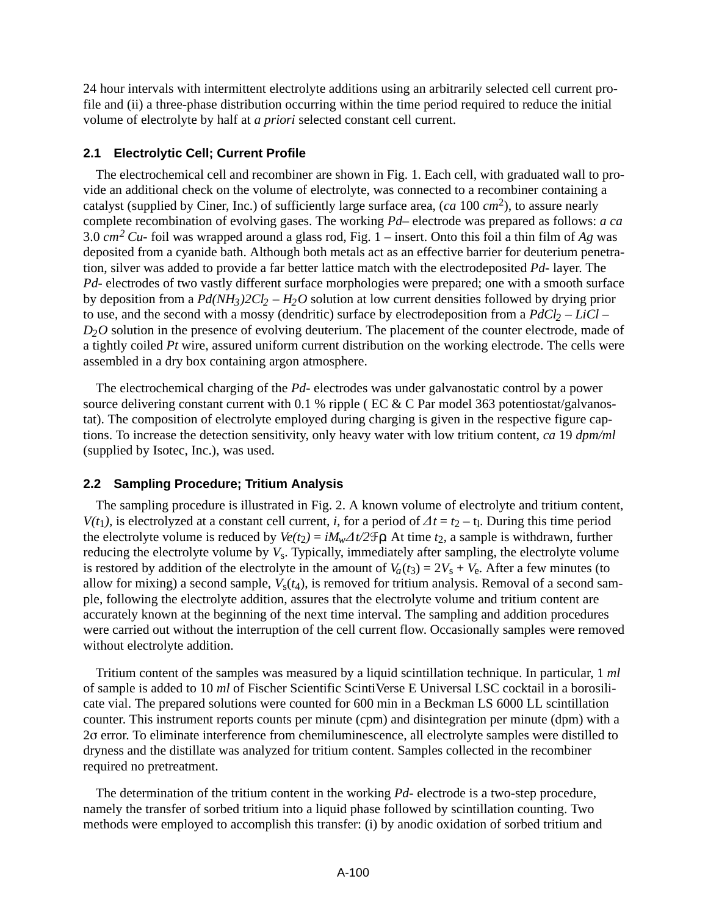24 hour intervals with intermittent electrolyte additions using an arbitrarily selected cell current profile and (ii) a three-phase distribution occurring within the time period required to reduce the initial volume of electrolyte by half at *a priori* selected constant cell current.

# **2.1 Electrolytic Cell; Current Profile**

The electrochemical cell and recombiner are shown in Fig. 1. Each cell, with graduated wall to provide an additional check on the volume of electrolyte, was connected to a recombiner containing a catalyst (supplied by Ciner, Inc.) of sufficiently large surface area, (*ca* 100 *cm*2), to assure nearly complete recombination of evolving gases. The working *Pd*– electrode was prepared as follows: *a ca* 3.0 *cm2 Cu-* foil was wrapped around a glass rod, Fig. 1 – insert. Onto this foil a thin film of *Ag* was deposited from a cyanide bath. Although both metals act as an effective barrier for deuterium penetration, silver was added to provide a far better lattice match with the electrodeposited *Pd*- layer. The *Pd*- electrodes of two vastly different surface morphologies were prepared; one with a smooth surface by deposition from a *Pd(NH3)2Cl2 – H2O* solution at low current densities followed by drying prior to use, and the second with a mossy (dendritic) surface by electrodeposition from a  $PdCl_2 - LiCl$  – *D2O* solution in the presence of evolving deuterium. The placement of the counter electrode, made of a tightly coiled *Pt* wire, assured uniform current distribution on the working electrode. The cells were assembled in a dry box containing argon atmosphere.

The electrochemical charging of the *Pd*- electrodes was under galvanostatic control by a power source delivering constant current with 0.1 % ripple (EC & C Par model 363 potentiostat/galvanostat). The composition of electrolyte employed during charging is given in the respective figure captions. To increase the detection sensitivity, only heavy water with low tritium content, *ca* 19 *dpm/ml* (supplied by Isotec, Inc.), was used.

### **2.2 Sampling Procedure; Tritium Analysis**

The sampling procedure is illustrated in Fig. 2. A known volume of electrolyte and tritium content, *V*( $t_1$ ), is electrolyzed at a constant cell current, *i*, for a period of  $\Delta t = t_2 - t_1$ . During this time period the electrolyte volume is reduced by  $Ve(t_2) = iM_w \Delta t/2 \Im \rho$ . At time  $t_2$ , a sample is withdrawn, further reducing the electrolyte volume by  $V_s$ . Typically, immediately after sampling, the electrolyte volume is restored by addition of the electrolyte in the amount of  $V_a(t_3) = 2V_s + V_e$ . After a few minutes (to allow for mixing) a second sample,  $V_s(t_4)$ , is removed for tritium analysis. Removal of a second sample, following the electrolyte addition, assures that the electrolyte volume and tritium content are accurately known at the beginning of the next time interval. The sampling and addition procedures were carried out without the interruption of the cell current flow. Occasionally samples were removed without electrolyte addition.

Tritium content of the samples was measured by a liquid scintillation technique. In particular, 1 *ml* of sample is added to 10 *ml* of Fischer Scientific ScintiVerse E Universal LSC cocktail in a borosilicate vial. The prepared solutions were counted for 600 min in a Beckman LS 6000 LL scintillation counter. This instrument reports counts per minute (cpm) and disintegration per minute (dpm) with a 2 error. To eliminate interference from chemiluminescence, all electrolyte samples were distilled to dryness and the distillate was analyzed for tritium content. Samples collected in the recombiner required no pretreatment.

The determination of the tritium content in the working *Pd*- electrode is a two-step procedure, namely the transfer of sorbed tritium into a liquid phase followed by scintillation counting. Two methods were employed to accomplish this transfer: (i) by anodic oxidation of sorbed tritium and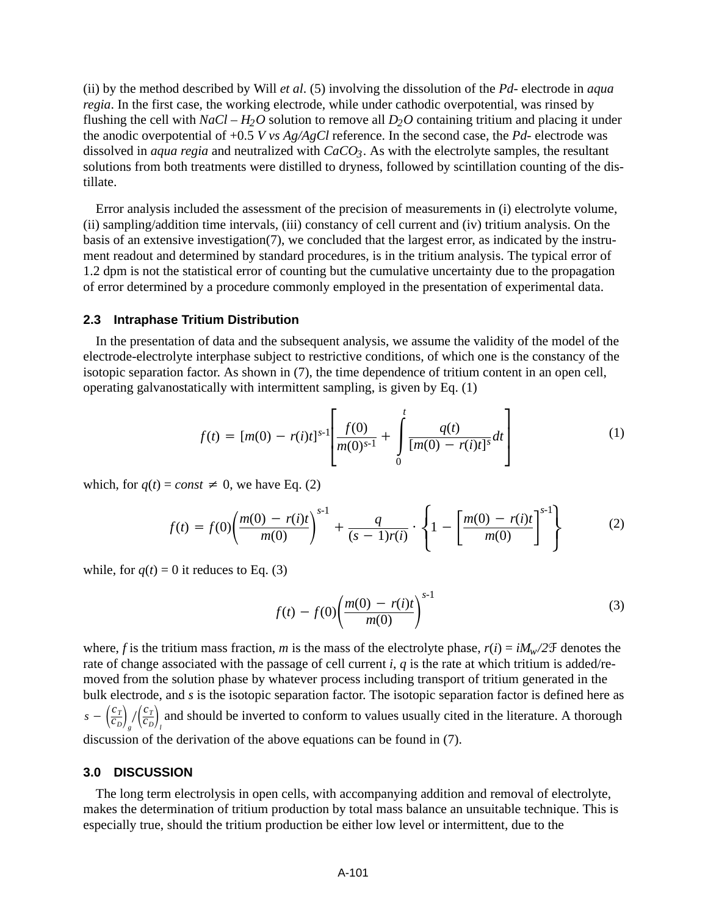(ii) by the method described by Will *et al*. (5) involving the dissolution of the *Pd*- electrode in *aqua regia*. In the first case, the working electrode, while under cathodic overpotential, was rinsed by flushing the cell with  $NaCl - H<sub>2</sub>O$  solution to remove all  $D<sub>2</sub>O$  containing tritium and placing it under the anodic overpotential of +0.5 *V vs Ag/AgCl* reference. In the second case, the *Pd*- electrode was dissolved in *aqua regia* and neutralized with *CaCO3*. As with the electrolyte samples, the resultant solutions from both treatments were distilled to dryness, followed by scintillation counting of the distillate.

Error analysis included the assessment of the precision of measurements in (i) electrolyte volume, (ii) sampling/addition time intervals, (iii) constancy of cell current and (iv) tritium analysis. On the basis of an extensive investigation(7), we concluded that the largest error, as indicated by the instrument readout and determined by standard procedures, is in the tritium analysis. The typical error of 1.2 dpm is not the statistical error of counting but the cumulative uncertainty due to the propagation of error determined by a procedure commonly employed in the presentation of experimental data.

#### **2.3 Intraphase Tritium Distribution**

In the presentation of data and the subsequent analysis, we assume the validity of the model of the electrode-electrolyte interphase subject to restrictive conditions, of which one is the constancy of the isotopic separation factor. As shown in (7), the time dependence of tritium content in an open cell, operating galvanostatically with intermittent sampling, is given by Eq. (1)

$$
f(t) = [m(0) - r(i)t]^{s-1} \left[ \frac{f(0)}{m(0)^{s-1}} + \int_{0}^{t} \frac{q(t)}{[m(0) - r(i)t]^{s}} dt \right]
$$
 (1)

which, for  $q(t) = const \neq 0$ , we have Eq. (2)

$$
f(t) = f(0) \left( \frac{m(0) - r(i)t}{m(0)} \right)^{s-1} + \frac{q}{(s-1)r(i)} \cdot \left\{ 1 - \left[ \frac{m(0) - r(i)t}{m(0)} \right]^{s-1} \right\}
$$
(2)

while, for  $q(t) = 0$  it reduces to Eq. (3)

$$
f(t) - f(0) \left( \frac{m(0) - r(i)t}{m(0)} \right)^{s-1}
$$
 (3)

where, *f* is the tritium mass fraction, *m* is the mass of the electrolyte phase,  $r(i) = iM_w/2\mathcal{F}$  denotes the rate of change associated with the passage of cell current *i*,  $q$  is the rate at which tritium is added/removed from the solution phase by whatever process including transport of tritium generated in the bulk electrode, and *s* is the isotopic separation factor. The isotopic separation factor is defined here as  $s - \left(\frac{c_7}{c_7}\right)$  $\overline{c_D}$  $\left(\frac{1}{g}\right)$  $\frac{c_1}{\sqrt{\frac{c_1}{c_2}}}$  $\overline{c_D}$  $\hat{h}_l$  and should be inverted to conform to values usually cited in the literature. A thorough discussion of the derivation of the above equations can be found in (7).

#### **3.0 DISCUSSION**

The long term electrolysis in open cells, with accompanying addition and removal of electrolyte, makes the determination of tritium production by total mass balance an unsuitable technique. This is especially true, should the tritium production be either low level or intermittent, due to the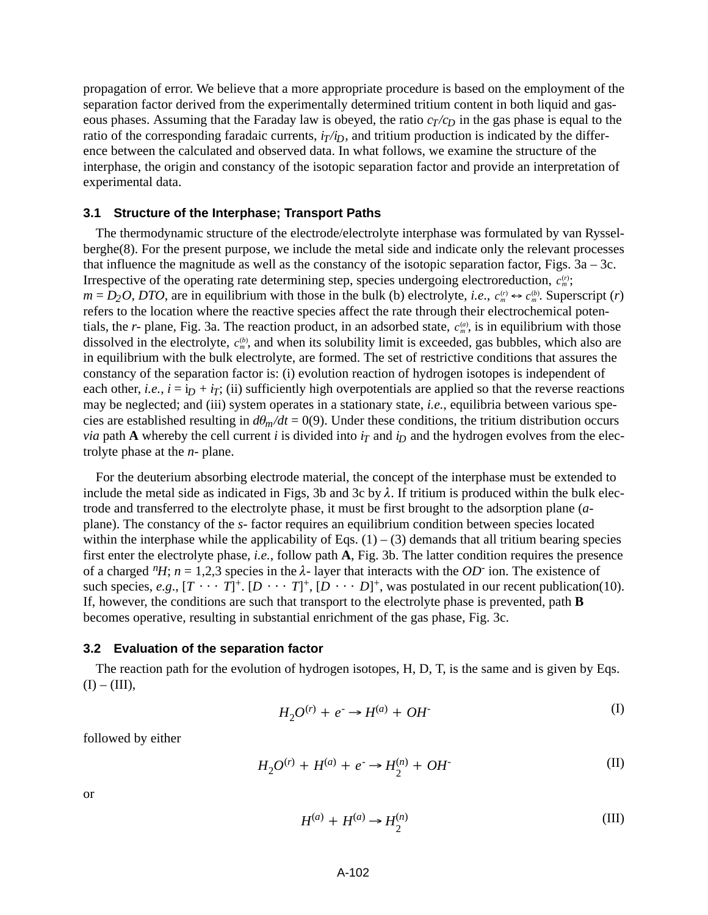propagation of error. We believe that a more appropriate procedure is based on the employment of the separation factor derived from the experimentally determined tritium content in both liquid and gaseous phases. Assuming that the Faraday law is obeyed, the ratio  $c_T/c_D$  in the gas phase is equal to the ratio of the corresponding faradaic currents,  $i_T/i_D$ , and tritium production is indicated by the difference between the calculated and observed data. In what follows, we examine the structure of the interphase, the origin and constancy of the isotopic separation factor and provide an interpretation of experimental data.

### **3.1 Structure of the Interphase; Transport Paths**

The thermodynamic structure of the electrode/electrolyte interphase was formulated by van Rysselberghe(8). For the present purpose, we include the metal side and indicate only the relevant processes that influence the magnitude as well as the constancy of the isotopic separation factor, Figs.  $3a - 3c$ . Irrespective of the operating rate determining step, species undergoing electroreduction,  $c_m^{\scriptscriptstyle{(r)}}$ ;  $m = D_2O$ , *DTO*, are in equilibrium with those in the bulk (b) electrolyte, *i.e.*,  $c_m^{(r)} \leftrightarrow c_m^{(b)}$ . Superscript (*r*) refers to the location where the reactive species affect the rate through their electrochemical potentials, the *r*- plane, Fig. 3a. The reaction product, in an adsorbed state,  $c_m^{(a)}$ , is in equilibrium with those dissolved in the electrolyte,  $c_m^{(b)}$ , and when its solubility limit is exceeded, gas bubbles, which also are in equilibrium with the bulk electrolyte, are formed. The set of restrictive conditions that assures the constancy of the separation factor is: (i) evolution reaction of hydrogen isotopes is independent of each other, *i.e.*,  $i = i_D + i_T$ ; (ii) sufficiently high overpotentials are applied so that the reverse reactions may be neglected; and (iii) system operates in a stationary state, *i.e.*, equilibria between various species are established resulting in  $d\theta_m/dt = 0$ (9). Under these conditions, the tritium distribution occurs *via* path **A** whereby the cell current *i* is divided into  $i<sub>T</sub>$  and  $i<sub>D</sub>$  and the hydrogen evolves from the electrolyte phase at the *n*- plane.

For the deuterium absorbing electrode material, the concept of the interphase must be extended to include the metal side as indicated in Figs, 3b and 3c by  $\lambda$ . If tritium is produced within the bulk electrode and transferred to the electrolyte phase, it must be first brought to the adsorption plane (*a*plane). The constancy of the *s*- factor requires an equilibrium condition between species located within the interphase while the applicability of Eqs.  $(1) - (3)$  demands that all tritium bearing species first enter the electrolyte phase, *i.e.*, follow path **A**, Fig. 3b. The latter condition requires the presence of a charged  $^nH$ ;  $n = 1,2,3$  species in the  $\lambda$ - layer that interacts with the  $OD^-$  ion. The existence of such species, e.g.,  $[T \cdots T]^+$ .  $[D \cdots T]^+$ ,  $[D \cdots D]^+$ , was postulated in our recent publication(10). If, however, the conditions are such that transport to the electrolyte phase is prevented, path **B** becomes operative, resulting in substantial enrichment of the gas phase, Fig. 3c.

## **3.2 Evaluation of the separation factor**

The reaction path for the evolution of hydrogen isotopes, H, D, T, is the same and is given by Eqs.  $(I) - (III),$ 

$$
H_2O^{(r)} + e^- \to H^{(a)} + OH^-(I)
$$
 (I)

followed by either

$$
H_2O^{(r)} + H^{(a)} + e^- \to H_2^{(n)} + OH^-
$$
 (II)

or

$$
H^{(a)} + H^{(a)} \rightarrow H_2^{(n)} \tag{III}
$$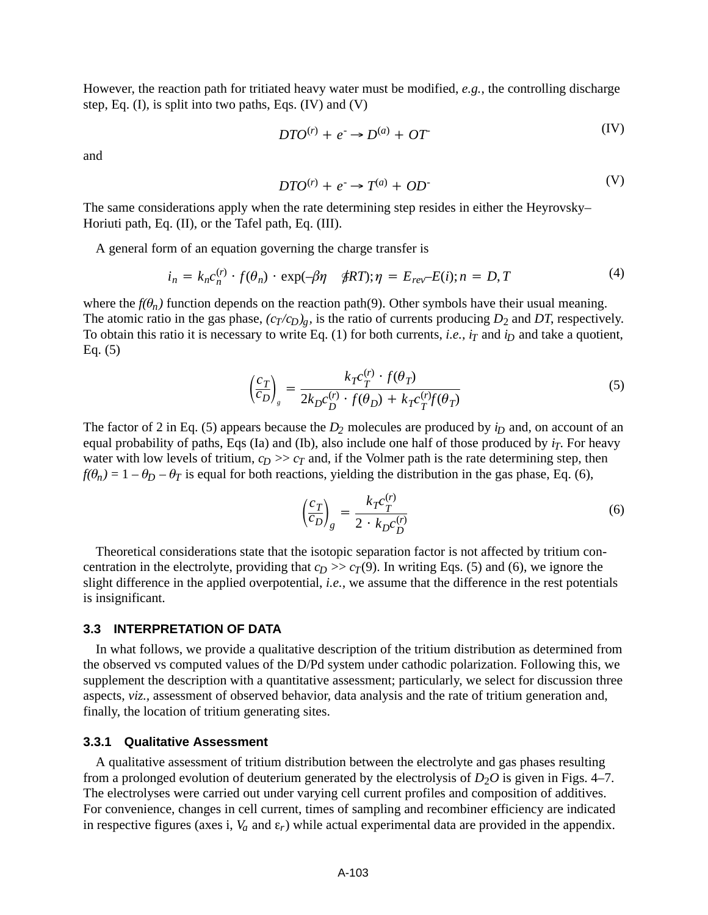However, the reaction path for tritiated heavy water must be modified, *e.g.*, the controlling discharge step, Eq.  $(I)$ , is split into two paths, Eqs.  $(IV)$  and  $(V)$ 

$$
DTO^{(r)} + e^- \to D^{(a)} + OT^-
$$
 (IV)

and

$$
DTO^{(r)} + e^- \to T^{(a)} + OD^- \tag{V}
$$

The same considerations apply when the rate determining step resides in either the Heyrovsky– Horiuti path, Eq. (II), or the Tafel path, Eq. (III).

A general form of an equation governing the charge transfer is

$$
i_n = k_n c_n^{(r)} \cdot f(\theta_n) \cdot \exp(-\beta \eta \quad \#RT); \eta = E_{rev} - E(i); n = D, T \tag{4}
$$

where the  $f(\theta_n)$  function depends on the reaction path(9). Other symbols have their usual meaning. The atomic ratio in the gas phase,  $(c_T/c_D)_g$ , is the ratio of currents producing  $D_2$  and DT, respectively. To obtain this ratio it is necessary to write Eq.  $(1)$  for both currents, *i.e.*,  $i_T$  and  $i_D$  and take a quotient, Eq. (5)

$$
\left(\frac{c_T}{c_D}\right)_s = \frac{k_T c_T^{(r)} \cdot f(\theta_T)}{2k_D c_D^{(r)} \cdot f(\theta_D) + k_T c_T^{(r)} f(\theta_T)}
$$
\n
$$
\tag{5}
$$

The factor of 2 in Eq. (5) appears because the  $D_2$  molecules are produced by  $i_D$  and, on account of an equal probability of paths, Eqs (Ia) and (Ib), also include one half of those produced by  $i<sub>T</sub>$ . For heavy water with low levels of tritium,  $c_D$   $>>$   $c_T$  and, if the Volmer path is the rate determining step, then  $f(\theta_n) = 1 - \theta_D - \theta_T$  is equal for both reactions, yielding the distribution in the gas phase, Eq. (6),

$$
\left(\frac{c_T}{c_D}\right)_g = \frac{k_T c_T^{(r)}}{2 \cdot k_D c_D^{(r)}}
$$
\n(6)

Theoretical considerations state that the isotopic separation factor is not affected by tritium concentration in the electrolyte, providing that  $c_D \gg c_T(9)$ . In writing Eqs. (5) and (6), we ignore the slight difference in the applied overpotential, *i.e.,* we assume that the difference in the rest potentials is insignificant.

## **3.3 INTERPRETATION OF DATA**

In what follows, we provide a qualitative description of the tritium distribution as determined from the observed vs computed values of the D/Pd system under cathodic polarization. Following this, we supplement the description with a quantitative assessment; particularly, we select for discussion three aspects, *viz.,* assessment of observed behavior, data analysis and the rate of tritium generation and, finally, the location of tritium generating sites.

#### **3.3.1 Qualitative Assessment**

A qualitative assessment of tritium distribution between the electrolyte and gas phases resulting from a prolonged evolution of deuterium generated by the electrolysis of *D*2*O* is given in Figs. 4–7. The electrolyses were carried out under varying cell current profiles and composition of additives. For convenience, changes in cell current, times of sampling and recombiner efficiency are indicated in respective figures (axes i,  $V_a$  and  $\varepsilon_r$ ) while actual experimental data are provided in the appendix.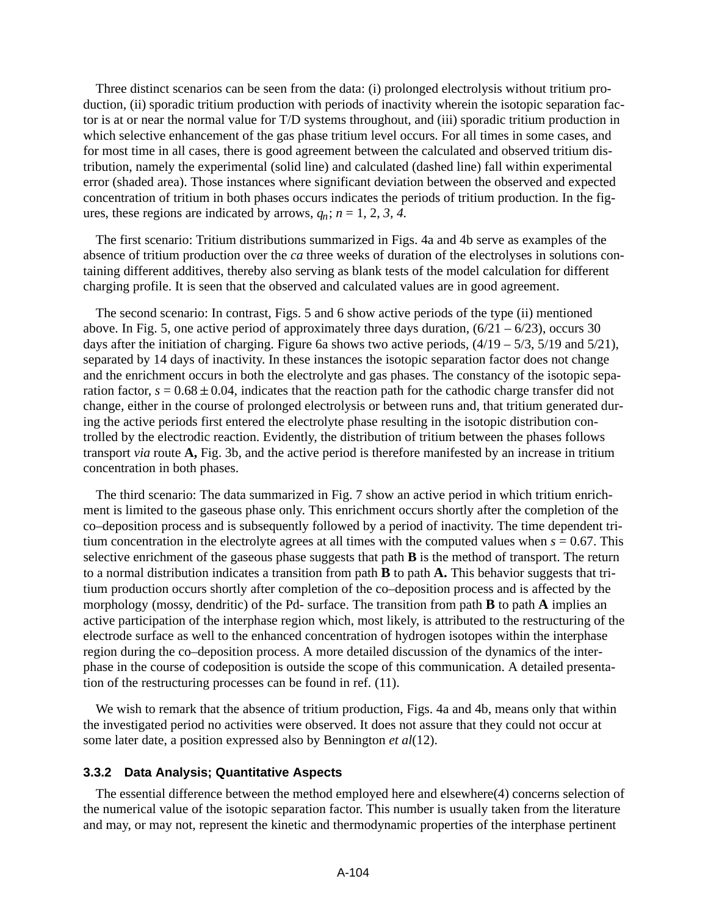Three distinct scenarios can be seen from the data: (i) prolonged electrolysis without tritium production, (ii) sporadic tritium production with periods of inactivity wherein the isotopic separation factor is at or near the normal value for T/D systems throughout, and (iii) sporadic tritium production in which selective enhancement of the gas phase tritium level occurs. For all times in some cases, and for most time in all cases, there is good agreement between the calculated and observed tritium distribution, namely the experimental (solid line) and calculated (dashed line) fall within experimental error (shaded area). Those instances where significant deviation between the observed and expected concentration of tritium in both phases occurs indicates the periods of tritium production. In the figures, these regions are indicated by arrows,  $q_n$ ;  $n = 1, 2, 3, 4$ .

The first scenario: Tritium distributions summarized in Figs. 4a and 4b serve as examples of the absence of tritium production over the *ca* three weeks of duration of the electrolyses in solutions containing different additives, thereby also serving as blank tests of the model calculation for different charging profile. It is seen that the observed and calculated values are in good agreement.

The second scenario: In contrast, Figs. 5 and 6 show active periods of the type (ii) mentioned above. In Fig. 5, one active period of approximately three days duration,  $(6/21 - 6/23)$ , occurs 30 days after the initiation of charging. Figure 6a shows two active periods,  $(4/19 - 5/3, 5/19)$  and  $5/21$ , separated by 14 days of inactivity. In these instances the isotopic separation factor does not change and the enrichment occurs in both the electrolyte and gas phases. The constancy of the isotopic separation factor,  $s = 0.68 \pm 0.04$ , indicates that the reaction path for the cathodic charge transfer did not change, either in the course of prolonged electrolysis or between runs and, that tritium generated during the active periods first entered the electrolyte phase resulting in the isotopic distribution controlled by the electrodic reaction. Evidently, the distribution of tritium between the phases follows transport *via* route **A,** Fig. 3b, and the active period is therefore manifested by an increase in tritium concentration in both phases.

The third scenario: The data summarized in Fig. 7 show an active period in which tritium enrichment is limited to the gaseous phase only. This enrichment occurs shortly after the completion of the co–deposition process and is subsequently followed by a period of inactivity. The time dependent tritium concentration in the electrolyte agrees at all times with the computed values when  $s = 0.67$ . This selective enrichment of the gaseous phase suggests that path **B** is the method of transport. The return to a normal distribution indicates a transition from path **B** to path **A.** This behavior suggests that tritium production occurs shortly after completion of the co–deposition process and is affected by the morphology (mossy, dendritic) of the Pd- surface. The transition from path **B** to path **A** implies an active participation of the interphase region which, most likely, is attributed to the restructuring of the electrode surface as well to the enhanced concentration of hydrogen isotopes within the interphase region during the co–deposition process. A more detailed discussion of the dynamics of the interphase in the course of codeposition is outside the scope of this communication. A detailed presentation of the restructuring processes can be found in ref. (11).

We wish to remark that the absence of tritium production, Figs. 4a and 4b, means only that within the investigated period no activities were observed. It does not assure that they could not occur at some later date, a position expressed also by Bennington *et al*(12).

### **3.3.2 Data Analysis; Quantitative Aspects**

The essential difference between the method employed here and elsewhere(4) concerns selection of the numerical value of the isotopic separation factor. This number is usually taken from the literature and may, or may not, represent the kinetic and thermodynamic properties of the interphase pertinent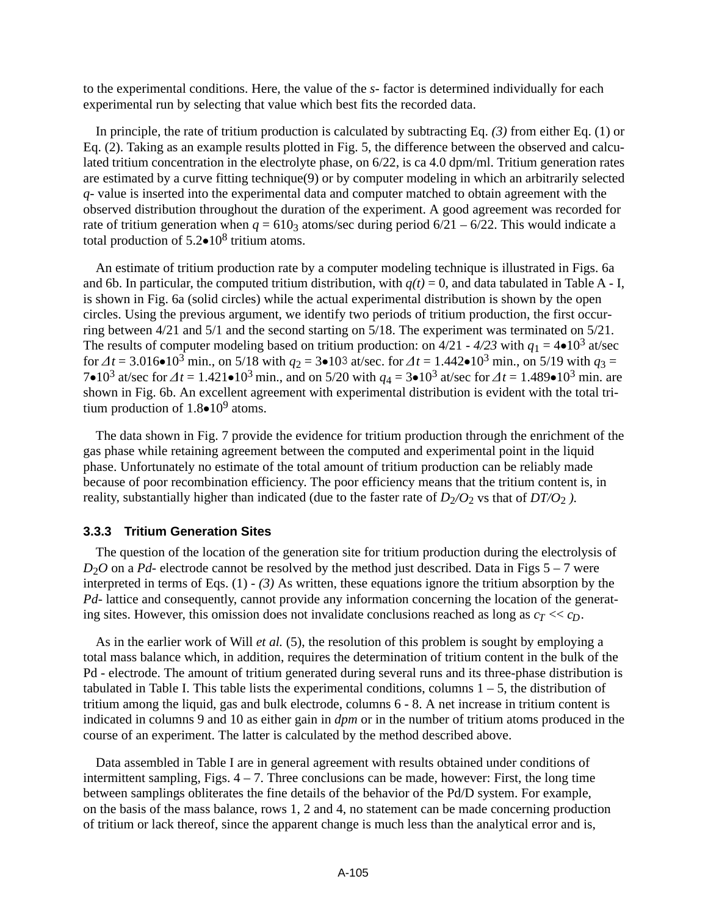to the experimental conditions. Here, the value of the *s-* factor is determined individually for each experimental run by selecting that value which best fits the recorded data.

In principle, the rate of tritium production is calculated by subtracting Eq. *(3)* from either Eq. (1) or Eq. (2). Taking as an example results plotted in Fig. 5, the difference between the observed and calculated tritium concentration in the electrolyte phase, on 6/22, is ca 4.0 dpm/ml. Tritium generation rates are estimated by a curve fitting technique(9) or by computer modeling in which an arbitrarily selected *q-* value is inserted into the experimental data and computer matched to obtain agreement with the observed distribution throughout the duration of the experiment. A good agreement was recorded for rate of tritium generation when  $q = 610<sub>3</sub>$  atoms/sec during period  $6/21 - 6/22$ . This would indicate a total production of  $5.2 \cdot 10^8$  tritium atoms.

An estimate of tritium production rate by a computer modeling technique is illustrated in Figs. 6a and 6b. In particular, the computed tritium distribution, with  $q(t) = 0$ , and data tabulated in Table A - I, is shown in Fig. 6a (solid circles) while the actual experimental distribution is shown by the open circles. Using the previous argument, we identify two periods of tritium production, the first occurring between 4/21 and 5/1 and the second starting on 5/18. The experiment was terminated on 5/21. The results of computer modeling based on tritium production: on  $4/21 - 4/23$  with  $q_1 = 4 \cdot 10^3$  at/sec for  $\Delta t = 3.016 \cdot 10^3$  min., on 5/18 with  $q_2 = 3 \cdot 10^3$  at/sec. for  $\Delta t = 1.442 \cdot 10^3$  min., on 5/19 with  $q_3 =$ 7•10<sup>3</sup> at/sec for  $\Delta t = 1.421 \cdot 10^3$  min., and on 5/20 with  $q_4 = 3 \cdot 10^3$  at/sec for  $\Delta t = 1.489 \cdot 10^3$  min. are shown in Fig. 6b. An excellent agreement with experimental distribution is evident with the total tritium production of  $1.8 \bullet 10^9$  atoms.

The data shown in Fig. 7 provide the evidence for tritium production through the enrichment of the gas phase while retaining agreement between the computed and experimental point in the liquid phase. Unfortunately no estimate of the total amount of tritium production can be reliably made because of poor recombination efficiency. The poor efficiency means that the tritium content is, in reality, substantially higher than indicated (due to the faster rate of  $D_2/O_2$  vs that of  $DT/O_2$  ).

## **3.3.3 Tritium Generation Sites**

The question of the location of the generation site for tritium production during the electrolysis of  $D_2$ *O* on a *Pd*- electrode cannot be resolved by the method just described. Data in Figs 5 – 7 were interpreted in terms of Eqs.  $(1) - (3)$  As written, these equations ignore the tritium absorption by the *Pd*- lattice and consequently, cannot provide any information concerning the location of the generating sites. However, this omission does not invalidate conclusions reached as long as  $c_T \ll c_D$ .

As in the earlier work of Will *et al.* (5), the resolution of this problem is sought by employing a total mass balance which, in addition, requires the determination of tritium content in the bulk of the Pd - electrode. The amount of tritium generated during several runs and its three-phase distribution is tabulated in Table I. This table lists the experimental conditions, columns  $1 - 5$ , the distribution of tritium among the liquid, gas and bulk electrode, columns 6 - 8. A net increase in tritium content is indicated in columns 9 and 10 as either gain in *dpm* or in the number of tritium atoms produced in the course of an experiment. The latter is calculated by the method described above.

Data assembled in Table I are in general agreement with results obtained under conditions of intermittent sampling, Figs. 4 *–* 7. Three conclusions can be made, however: First, the long time between samplings obliterates the fine details of the behavior of the Pd/D system. For example, on the basis of the mass balance, rows 1, 2 and 4, no statement can be made concerning production of tritium or lack thereof, since the apparent change is much less than the analytical error and is,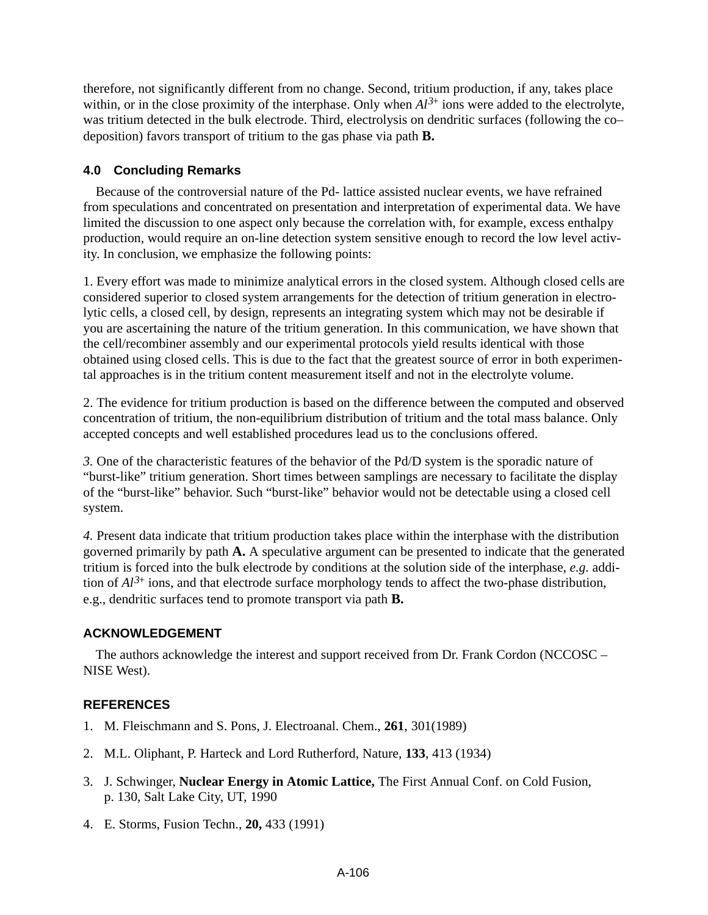therefore, not significantly different from no change. Second, tritium production, if any, takes place within, or in the close proximity of the interphase. Only when  $Al^{3+}$  ions were added to the electrolyte, was tritium detected in the bulk electrode. Third, electrolysis on dendritic surfaces (following the co– deposition) favors transport of tritium to the gas phase via path **B.**

# **4.0 Concluding Remarks**

Because of the controversial nature of the Pd- lattice assisted nuclear events, we have refrained from speculations and concentrated on presentation and interpretation of experimental data. We have limited the discussion to one aspect only because the correlation with, for example, excess enthalpy production, would require an on-line detection system sensitive enough to record the low level activity. In conclusion, we emphasize the following points:

1. Every effort was made to minimize analytical errors in the closed system. Although closed cells are considered superior to closed system arrangements for the detection of tritium generation in electrolytic cells, a closed cell, by design, represents an integrating system which may not be desirable if you are ascertaining the nature of the tritium generation. In this communication, we have shown that the cell/recombiner assembly and our experimental protocols yield results identical with those obtained using closed cells. This is due to the fact that the greatest source of error in both experimental approaches is in the tritium content measurement itself and not in the electrolyte volume.

2. The evidence for tritium production is based on the difference between the computed and observed concentration of tritium, the non-equilibrium distribution of tritium and the total mass balance. Only accepted concepts and well established procedures lead us to the conclusions offered.

*3.* One of the characteristic features of the behavior of the Pd/D system is the sporadic nature of "burst-like" tritium generation. Short times between samplings are necessary to facilitate the display of the "burst-like" behavior. Such "burst-like" behavior would not be detectable using a closed cell system.

*4.* Present data indicate that tritium production takes place within the interphase with the distribution governed primarily by path **A.** A speculative argument can be presented to indicate that the generated tritium is forced into the bulk electrode by conditions at the solution side of the interphase, *e.g.* addition of  $Al^{3+}$  ions, and that electrode surface morphology tends to affect the two-phase distribution, e.g., dendritic surfaces tend to promote transport via path **B.**

# **ACKNOWLEDGEMENT**

The authors acknowledge the interest and support received from Dr. Frank Cordon (NCCOSC – NISE West).

# **REFERENCES**

- 1. M. Fleischmann and S. Pons, J. Electroanal. Chem., **261**, 301(1989)
- 2. M.L. Oliphant, P. Harteck and Lord Rutherford, Nature, **133**, 413 (1934)
- 3. J. Schwinger, **Nuclear Energy in Atomic Lattice,** The First Annual Conf. on Cold Fusion, p. 130, Salt Lake City, UT, 1990
- 4. E. Storms, Fusion Techn., **20,** 433 (1991)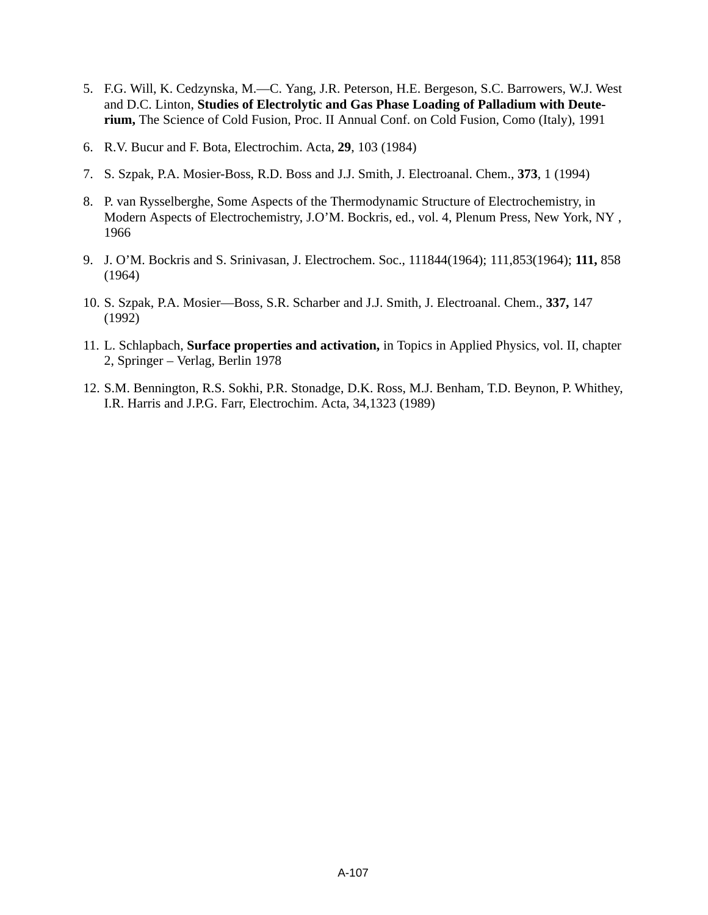- 5. F.G. Will, K. Cedzynska, M.—C. Yang, J.R. Peterson, H.E. Bergeson, S.C. Barrowers, W.J. West and D.C. Linton, **Studies of Electrolytic and Gas Phase Loading of Palladium with Deuterium,** The Science of Cold Fusion, Proc. II Annual Conf. on Cold Fusion, Como (Italy), 1991
- 6. R.V. Bucur and F. Bota, Electrochim. Acta, **29**, 103 (1984)
- 7. S. Szpak, P.A. Mosier-Boss, R.D. Boss and J.J. Smith, J. Electroanal. Chem., **373**, 1 (1994)
- 8. P. van Rysselberghe, Some Aspects of the Thermodynamic Structure of Electrochemistry, in Modern Aspects of Electrochemistry, J.O'M. Bockris, ed., vol. 4, Plenum Press, New York, NY , 1966
- 9. J. O'M. Bockris and S. Srinivasan, J. Electrochem. Soc., 111844(1964); 111,853(1964); **111,** 858 (1964)
- 10. S. Szpak, P.A. Mosier—Boss, S.R. Scharber and J.J. Smith, J. Electroanal. Chem., **337,** 147 (1992)
- 11. L. Schlapbach, **Surface properties and activation,** in Topics in Applied Physics, vol. II, chapter 2, Springer – Verlag, Berlin 1978
- 12. S.M. Bennington, R.S. Sokhi, P.R. Stonadge, D.K. Ross, M.J. Benham, T.D. Beynon, P. Whithey, I.R. Harris and J.P.G. Farr, Electrochim. Acta, 34,1323 (1989)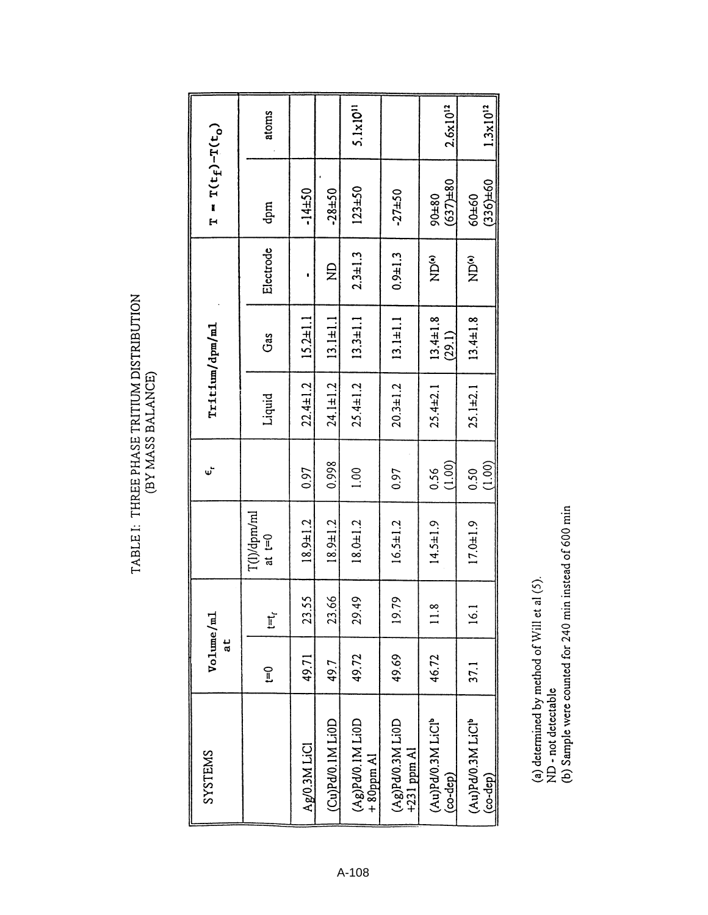TABLE I: THREE PHASE TRITIUM DISTRIBUTION (BY MASS BALANCE)

| SYSTEMS                                            | Volume/ml<br>يا<br>م    |                |                         | Ψ.             |                | Tritium/dpm/ml           |                   | $T = T(t_f) - T(t_0)$ |                      |
|----------------------------------------------------|-------------------------|----------------|-------------------------|----------------|----------------|--------------------------|-------------------|-----------------------|----------------------|
|                                                    | $\overline{\mathbb{P}}$ | $\vec{L}$      | T(l)/dpm/ml<br>$0=1$ is |                | Liquid         | Gas                      | Electrode         | $4$ pm                | atoms                |
| $AgO.3M$ LiCl                                      | 49.71                   | 23.55          | 18.9±1.2                | 0.97           | $22.4 \pm 1.2$ | $15.2\pm1.1$             |                   | $-14±50$              |                      |
| (Cu)Pd/0.1M Li0D                                   | 49.7                    | 23.66          | 18.9±1.2                | 0.998          | $24.1 \pm 1.2$ | $13.1 \pm 1.1$           | $\Xi$             | $-28 + 50$            |                      |
| $(Ag)Pd0.1M$ LiOD<br>$+80$ ppm Al                  | 49.72                   | 29.49          | 18.0±1.2                | 1.00           | $25.4 \pm 1.2$ | $13.3 \pm 1.1$           | $2.3 + 1.3$       | $123 + 50$            | 5.1x10 <sup>11</sup> |
| (Ag)Pd/0.3M Li0D<br>+231 ppm Al                    | 49.69                   | 19.79          | $16.5 \pm 1.2$          | 0.97           | $20.3 \pm 1.2$ | $13.1 \pm 1.1$           | $0.9 + 1.3$       | $-27 + 50$            |                      |
| (Au)Pd/0.3M LiCl <sup>b</sup><br>$(co-dep)$        | 46.72                   | $\frac{8}{11}$ | $14.5 \pm 1.9$          | (1.00)<br>0.56 | $25.4 \pm 2.1$ | $13.4 \pm 1.8$<br>(29.1) | ND <sup>(a)</sup> | $08\pm(25)$<br>08306  | $2.6 \times 10^{12}$ |
| (Au)Pd/0.3M LiCl <sup>b</sup><br>$_{\rm (co-dep)}$ | 37.1                    | 16.1           | $17.0 + 1.9$            | (1.00)<br>0.50 | $25.1 \pm 2.1$ | $13.4 \pm 1.8$           | ND <sup>(a)</sup> | 0356260<br>60±60      | $1.3 \times 10^{12}$ |

(a) determined by method of Will et al (5).<br>ND - not detectable<br>(b) Sample were counted for 240 min instead of 600 min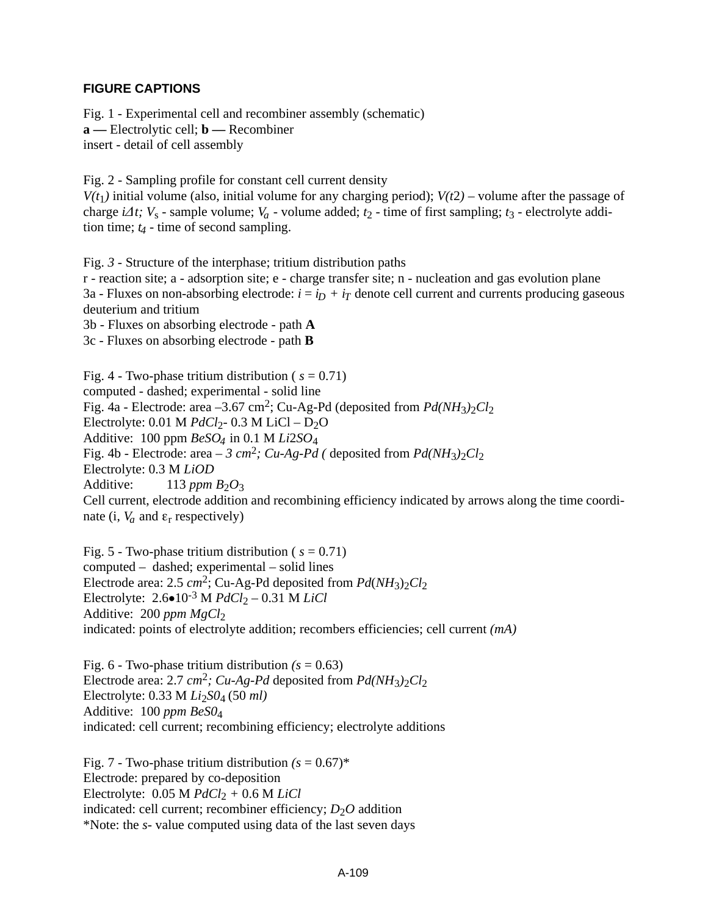# **FIGURE CAPTIONS**

Fig. 1 - Experimental cell and recombiner assembly (schematic) **a —** Electrolytic cell; **b —** Recombiner insert - detail of cell assembly

Fig. 2 - Sampling profile for constant cell current density

 $V(t_1)$  initial volume (also, initial volume for any charging period);  $V(t_2)$  – volume after the passage of charge  $i\Delta t$ ;  $V_s$  - sample volume;  $V_a$  - volume added;  $t_2$  - time of first sampling;  $t_3$  - electrolyte addition time; *t4* - time of second sampling.

Fig. *3* - Structure of the interphase; tritium distribution paths

r - reaction site; a - adsorption site; e - charge transfer site; n - nucleation and gas evolution plane 3a - Fluxes on non-absorbing electrode:  $i = i_D + i_T$  denote cell current and currents producing gaseous deuterium and tritium

3b - Fluxes on absorbing electrode - path **A** 

3c - Fluxes on absorbing electrode - path **B**

Fig. 4 - Two-phase tritium distribution ( $s = 0.71$ ) computed - dashed; experimental - solid line Fig. 4a - Electrode: area  $-3.67$  cm<sup>2</sup>; Cu-Ag-Pd (deposited from  $Pd(NH_3)_{2}Cl_2$ ) Electrolyte: 0.01 M *PdCl*<sub>2</sub>-0.3 M LiCl – D<sub>2</sub>O Additive: 100 ppm *BeSO4* in 0.1 M *Li*2*SO*<sup>4</sup> Fig. 4b - Electrode: area – 3 cm<sup>2</sup>; Cu-Ag-Pd ( deposited from  $Pd(NH_3)_2Cl_2$ Electrolyte: 0.3 M *LiOD* Additive:  $113 ppm B_2O_3$ Cell current, electrode addition and recombining efficiency indicated by arrows along the time coordinate (i,  $V_a$  and  $\varepsilon_r$  respectively)

Fig. 5 - Two-phase tritium distribution ( $s = 0.71$ ) computed – dashed; experimental – solid lines Electrode area: 2.5  $cm^2$ ; Cu-Ag-Pd deposited from  $Pd(NH_3)_2Cl_2$ Electrolyte:  $2.6 \bullet 10^{-3}$  M *PdCl*<sub>2</sub> – 0.31 M *LiCl* Additive: 200 *ppm MgCl*<sub>2</sub> indicated: points of electrolyte addition; recombers efficiencies; cell current *(mA)*

Fig. 6 - Two-phase tritium distribution  $(s = 0.63)$ Electrode area: 2.7 *cm*<sup>2</sup>; *Cu-Ag-Pd* deposited from  $Pd(NH_3)_{2}Cl_2$ Electrolyte: 0.33 M *Li*<sub>2</sub>*S0*<sub>4</sub> (50 *ml*) Additive: 100 *ppm BeS0*<sup>4</sup> indicated: cell current; recombining efficiency; electrolyte additions

Fig. 7 - Two-phase tritium distribution  $(s = 0.67)^*$ Electrode: prepared by co-deposition Electrolyte:  $0.05$  M  $PdCl<sub>2</sub> + 0.6$  M *LiCl* indicated: cell current; recombiner efficiency;  $D_2O$  addition \*Note: the *s-* value computed using data of the last seven days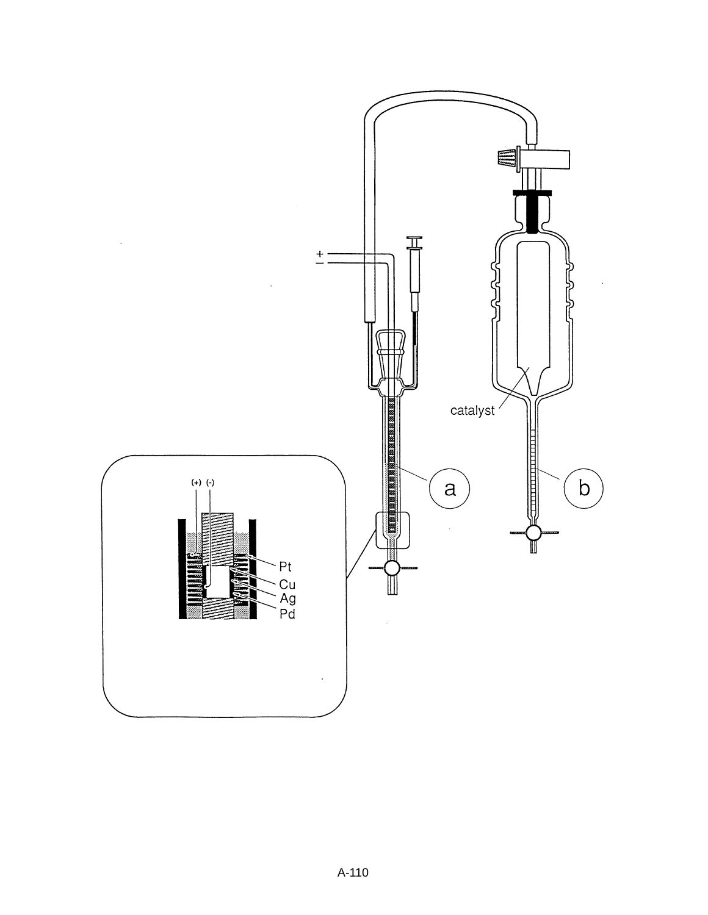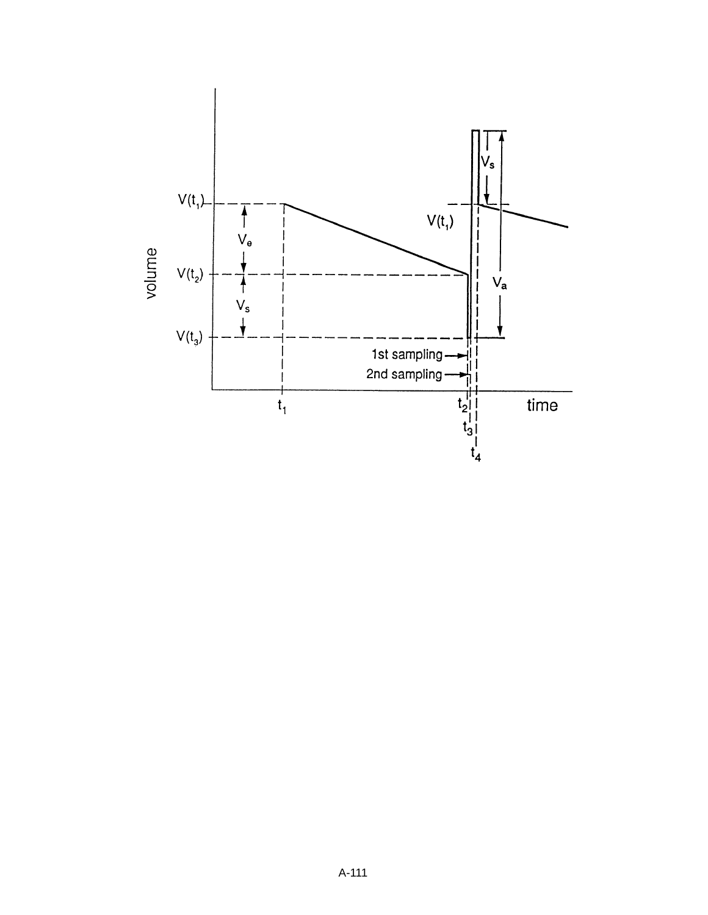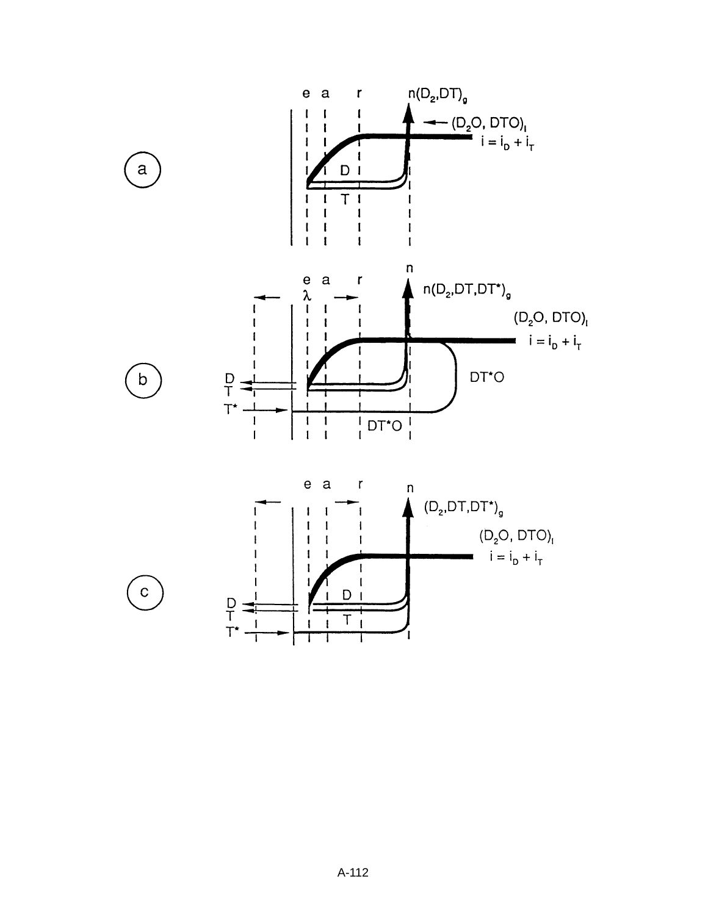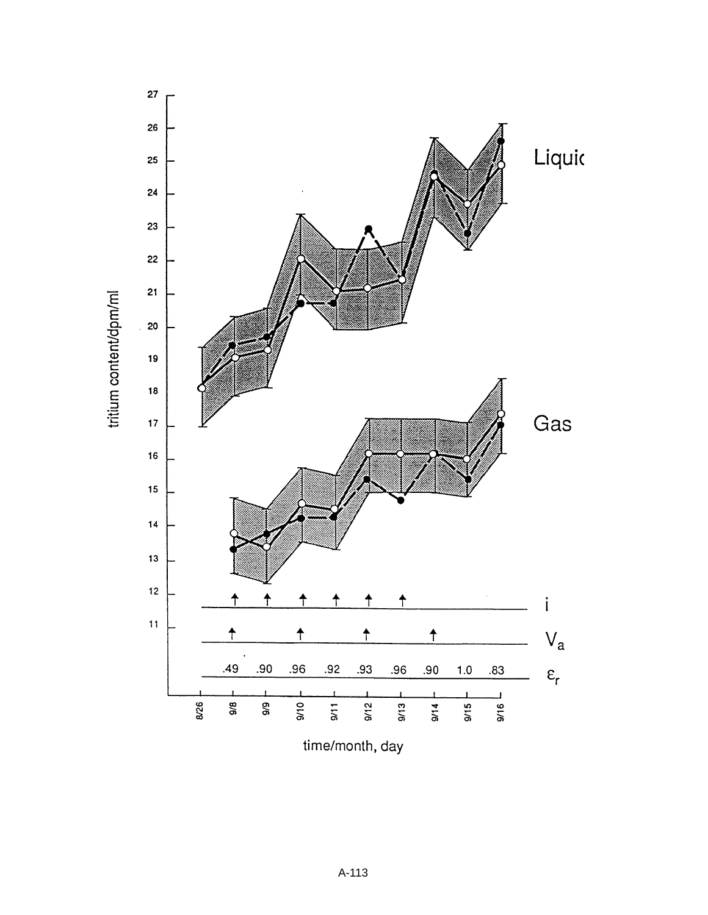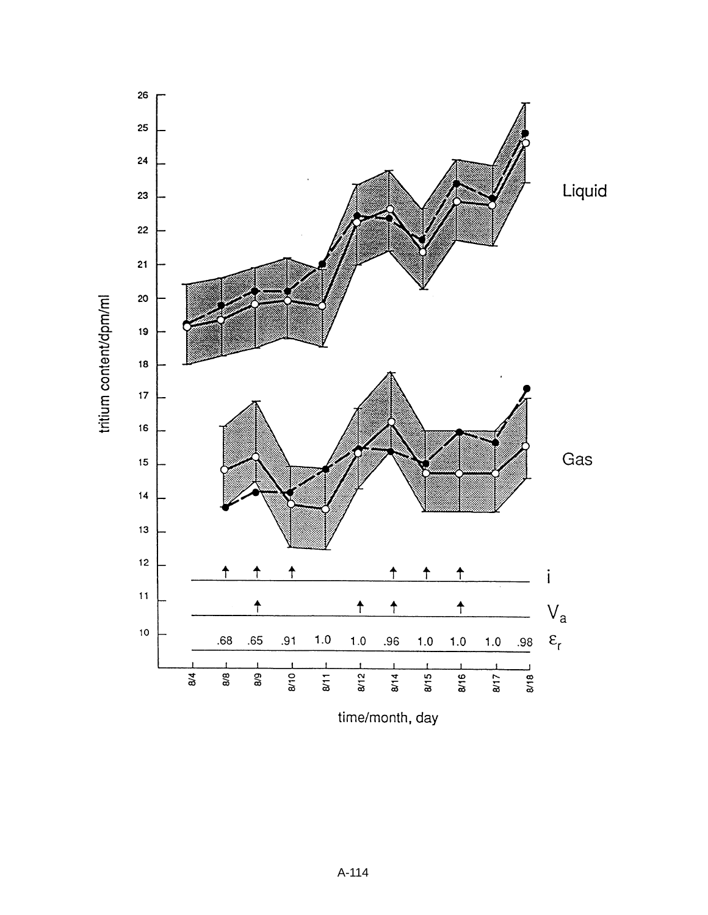

time/month, day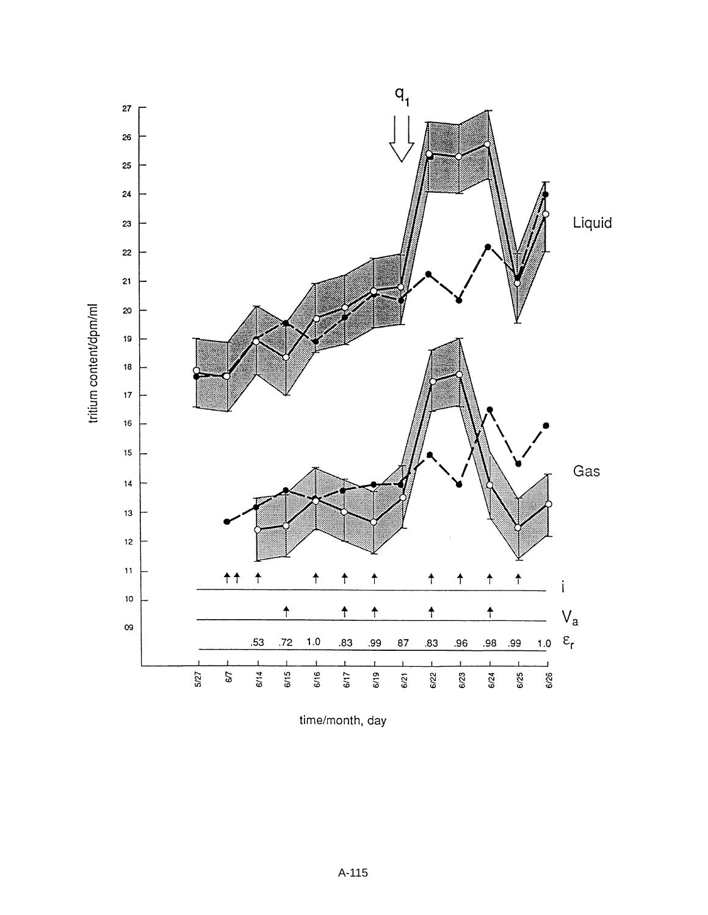

time/month, day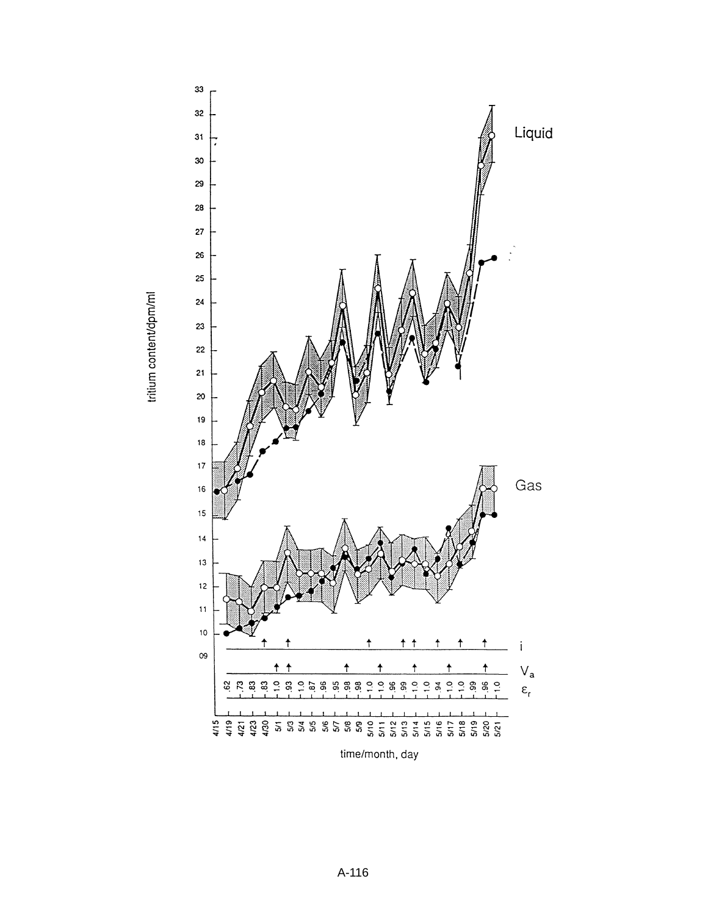

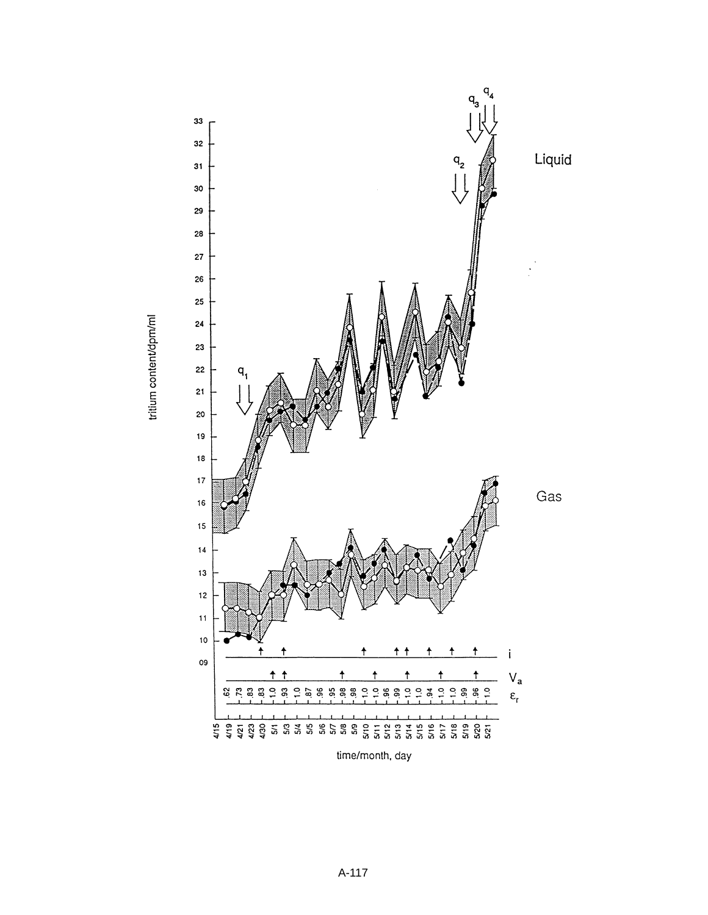

tritium content/dpm/ml

time/month, day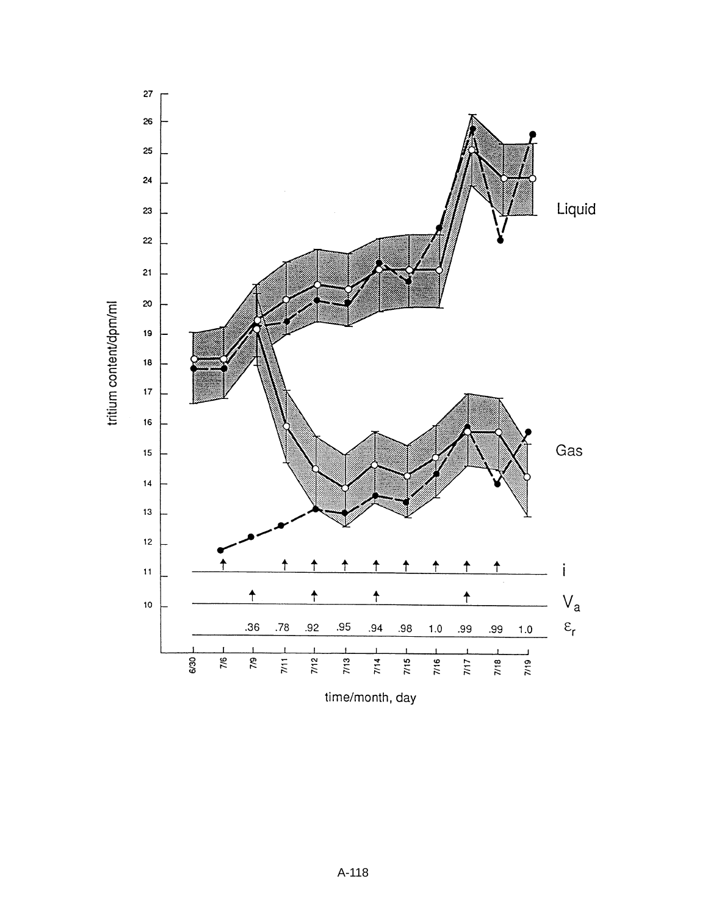

time/month, day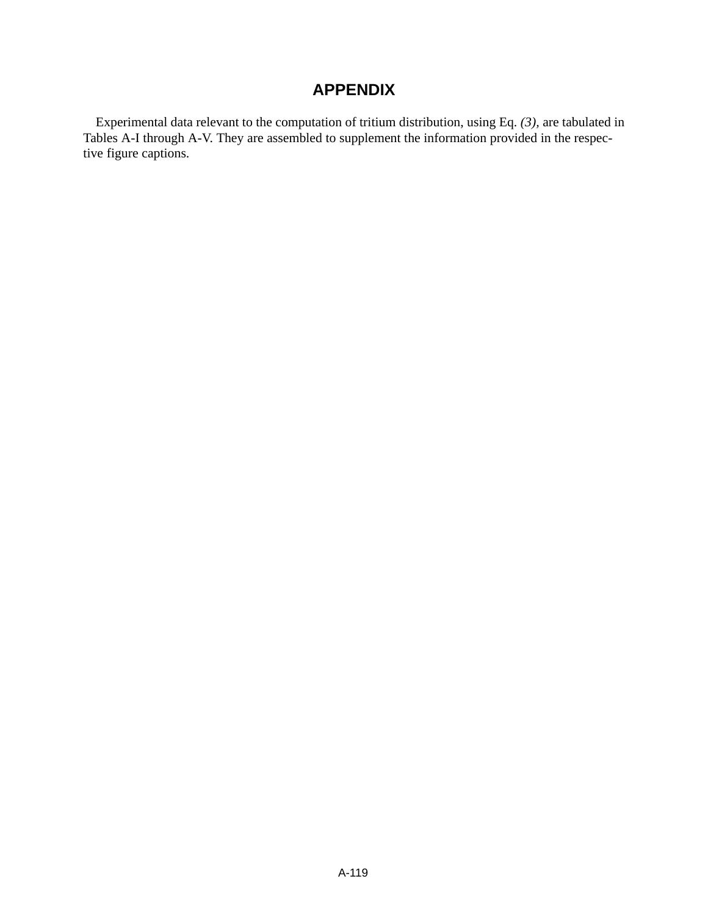# **APPENDIX**

Experimental data relevant to the computation of tritium distribution, using Eq. *(3),* are tabulated in Tables A-I through A-V. They are assembled to supplement the information provided in the respective figure captions.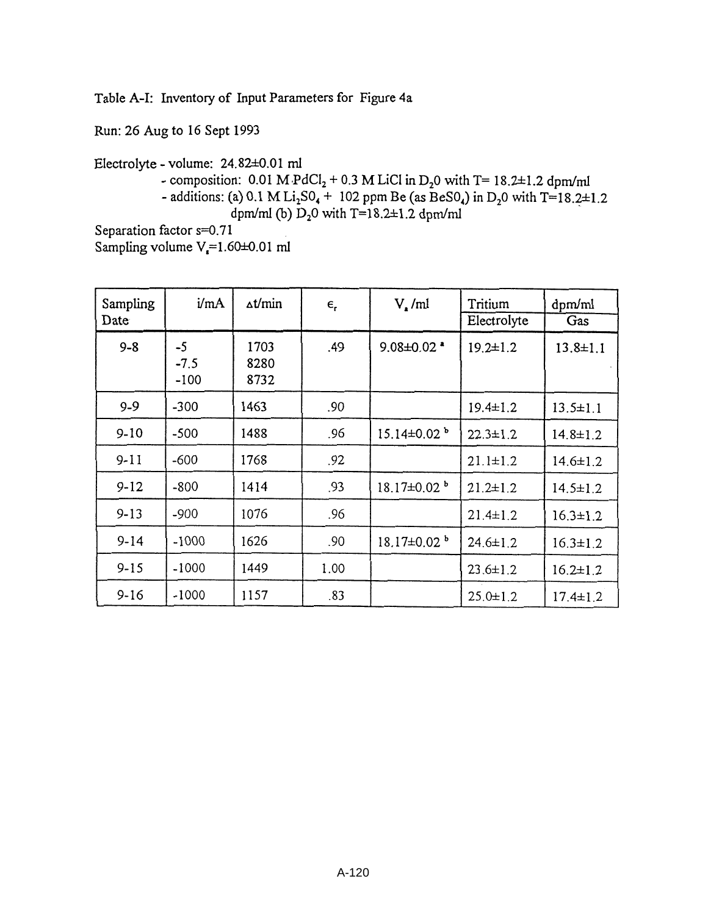Table A-I: Inventory of Input Parameters for Figure 4a

Run: 26 Aug to 16 Sept 1993

Electrolyte - volume: 24.82±0.01 ml

- composition: 0.01 M PdCl<sub>2</sub> + 0.3 M LiCl in D<sub>2</sub>0 with T= 18.2±1.2 dpm/ml
- additions: (a) 0.1 M  $Li_2SO_4$  + 102 ppm Be (as BeS0<sub>4</sub>) in D<sub>2</sub>0 with T=18.2±1.2 dpm/ml (b)  $D_2$ 0 with T=18.2±1.2 dpm/ml

Separation factor s=0.71

Sampling volume  $V_i = 1.60 \pm 0.01$  ml

| Sampling<br>Date | i/mA                     | $\Delta t$ /min      | $\epsilon_{\rm r}$ | $V_{\bullet}/ml$             | Tritium<br>Electrolyte | dpm/ml<br>Gas  |
|------------------|--------------------------|----------------------|--------------------|------------------------------|------------------------|----------------|
| $9 - 8$          | $-5$<br>$-7.5$<br>$-100$ | 1703<br>8280<br>8732 | .49                | $9.08 \pm 0.02$ <sup>*</sup> | $19.2 \pm 1.2$         | $13.8 \pm 1.1$ |
| $9 - 9$          | $-300$                   | 1463                 | .90                |                              | $19.4 \pm 1.2$         | $13.5 \pm 1.1$ |
| $9 - 10$         | $-500$                   | 1488                 | .96                | $15.14\pm0.02$ <sup>b</sup>  | $22.3 \pm 1.2$         | $14.8 \pm 1.2$ |
| $9 - 11$         | $-600$                   | 1768                 | .92                |                              | $21.1 \pm 1.2$         | $14.6 \pm 1.2$ |
| $9 - 12$         | $-800$                   | 1414                 | .93                | $18.17\pm0.02$ <sup>b</sup>  | $21.2 \pm 1.2$         | $14.5 \pm 1.2$ |
| $9 - 13$         | $-900$                   | 1076                 | .96                |                              | $21.4 \pm 1.2$         | $16.3 \pm 1.2$ |
| $9 - 14$         | $-1000$                  | 1626                 | .90                | $18.17\pm0.02$ <sup>b</sup>  | $24.6 \pm 1.2$         | $16.3 \pm 1.2$ |
| $9 - 15$         | $-1000$                  | 1449                 | 1.00               |                              | $23.6 \pm 1.2$         | $16.2 \pm 1.2$ |
| $9 - 16$         | $-1000$                  | 1157                 | .83                |                              | $25.0 \pm 1.2$         | $17.4 \pm 1.2$ |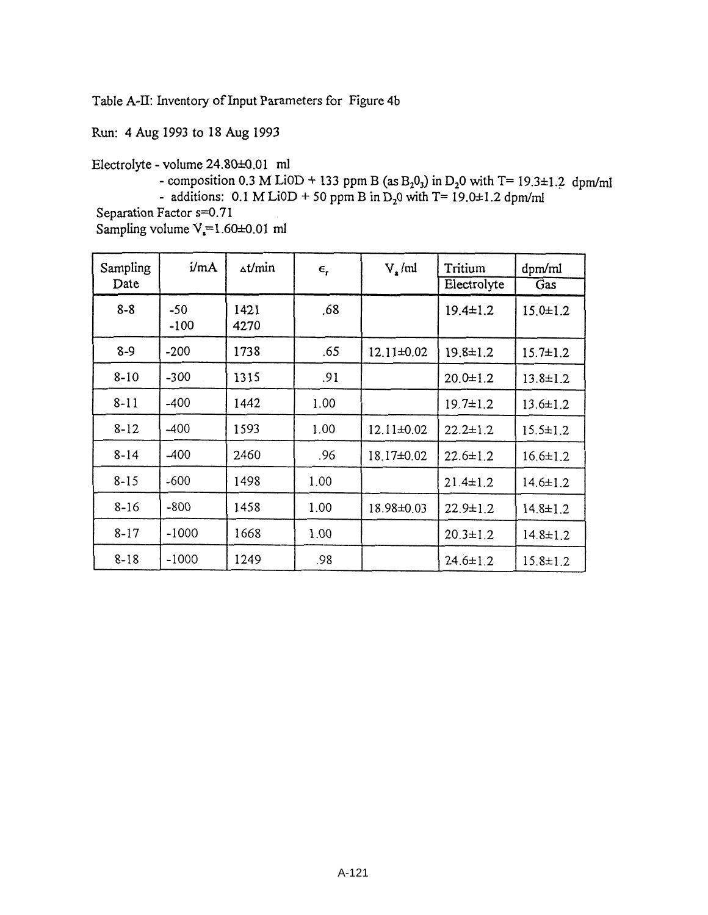Table A-II: Inventory of Input Parameters for Figure 4b

Run: 4 Aug 1993 to 18 Aug 1993

Electrolyte - volume 24.80±0.01 ml

- composition 0.3 M LiOD + 133 ppm B (as  $B_2O_3$ ) in  $D_2O$  with T= 19.3±1.2 dpm/ml - additions:  $0.1$  M Li0D + 50 ppm B in D<sub>2</sub>0 with T= 19.0±1.2 dpm/ml Separation Factor s=0.71

Sampling volume V<sub>s</sub>=1.60±0.01 ml

| Sampling<br>Date | i/mA            | At/min       | $\epsilon_{\rm r}$ | $V_{\bullet}/ml$ | Tritium<br>Electrolyte | dpm/ml<br>Gas  |
|------------------|-----------------|--------------|--------------------|------------------|------------------------|----------------|
| $8 - 8$          | $-50$<br>$-100$ | 1421<br>4270 | .68                |                  | $19.4 \pm 1.2$         | $15.0 \pm 1.2$ |
| $8 - 9$          | $-200$          | 1738         | .65                | $12.11 \pm 0.02$ | $19.8 \pm 1.2$         | $15.7 \pm 1.2$ |
| $8 - 10$         | $-300$          | 1315         | .91                |                  | $20.0 \pm 1.2$         | $13.8 \pm 1.2$ |
| $8 - 11$         | $-400$          | 1442         | 1.00               |                  | $19.7 \pm 1.2$         | $13.6 \pm 1.2$ |
| $8 - 12$         | $-400$          | 1593         | 1.00               | $12.11 \pm 0.02$ | $22.2 \pm 1.2$         | $15.5 \pm 1.2$ |
| $8 - 14$         | $-400$          | 2460         | .96                | 18.17±0.02       | $22.6 \pm 1.2$         | $16.6 \pm 1.2$ |
| $8 - 15$         | $-600$          | 1498         | 1.00               |                  | $21.4 \pm 1.2$         | $14.6 \pm 1.2$ |
| $8 - 16$         | $-800$          | 1458         | 1.00               | 18.98±0.03       | $22.9 \pm 1.2$         | $14.8 \pm 1.2$ |
| $8 - 17$         | $-1000$         | 1668         | 1.00               |                  | $20.3 \pm 1.2$         | $14.8 \pm 1.2$ |
| $8 - 18$         | $-1000$         | 1249         | .98                |                  | $24.6 \pm 1.2$         | $15.8 \pm 1.2$ |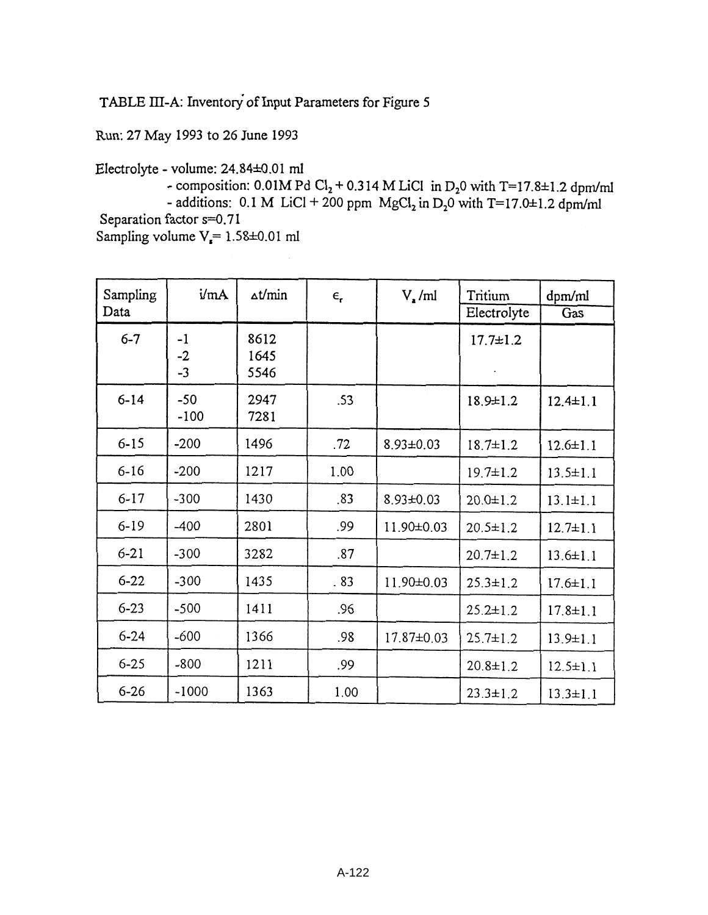# TABLE III-A: Inventory of Input Parameters for Figure 5

Run: 27 May 1993 to 26 June 1993

Electrolyte - volume: 24.84±0.01 ml

- composition: 0.01M Pd Cl<sub>2</sub> + 0.314 M LiCl in D<sub>2</sub>0 with T=17.8±1.2 dpm/ml - additions: 0.1 M LiCl + 200 ppm MgCl<sub>2</sub> in D<sub>2</sub>0 with T=17.0±1.2 dpm/ml Separation factor s=0.71 Sampling volume  $V_i = 1.58 \pm 0.01$  ml

| Sampling<br>Data | i/mA                 | $\Delta t$ /min      | $\epsilon_{\rm r}$ | $V_{\bullet}/ml$ | Tritium<br>Electrolyte | dpm/ml<br>Gas  |
|------------------|----------------------|----------------------|--------------------|------------------|------------------------|----------------|
| $6 - 7$          | $-1$<br>$-2$<br>$-3$ | 8612<br>1645<br>5546 |                    |                  | $17.7 \pm 1.2$         |                |
| $6 - 14$         | $-50$<br>$-100$      | 2947<br>7281         | .53                |                  | $18.9 \pm 1.2$         | $12.4 \pm 1.1$ |
| $6 - 15$         | $-200$               | 1496                 | .72                | $8.93 \pm 0.03$  | $18.7 \pm 1.2$         | $12.6 \pm 1.1$ |
| $6 - 16$         | $-200$               | 1217                 | 1.00               |                  | $19.7 \pm 1.2$         | $13.5 \pm 1.1$ |
| $6 - 17$         | $-300$               | 1430                 | .83                | $8.93 \pm 0.03$  | $20.0 \pm 1.2$         | $13.1 \pm 1.1$ |
| $6 - 19$         | $-400$               | 2801                 | .99                | 11.90±0.03       | $20.5 \pm 1.2$         | $12.7 \pm 1.1$ |
| $6 - 21$         | $-300$               | 3282                 | .87                |                  | $20.7 \pm 1.2$         | $13.6 \pm 1.1$ |
| $6 - 22$         | $-300$               | 1435                 | . 83               | 11.90±0.03       | $25.3 \pm 1.2$         | $17.6 \pm 1.1$ |
| $6 - 23$         | $-500$               | 1411                 | .96                |                  | $25.2 \pm 1.2$         | $17.8 \pm 1.1$ |
| $6 - 24$         | $-600$               | 1366                 | .98                | 17.87±0.03       | $25.7 \pm 1.2$         | $13.9 \pm 1.1$ |
| $6 - 25$         | $-800$               | 1211                 | .99                |                  | $20.8 \pm 1.2$         | $12.5 \pm 1.1$ |
| $6 - 26$         | $-1000$              | 1363                 | 1.00               |                  | $23.3 \pm 1.2$         | $13.3 \pm 1.1$ |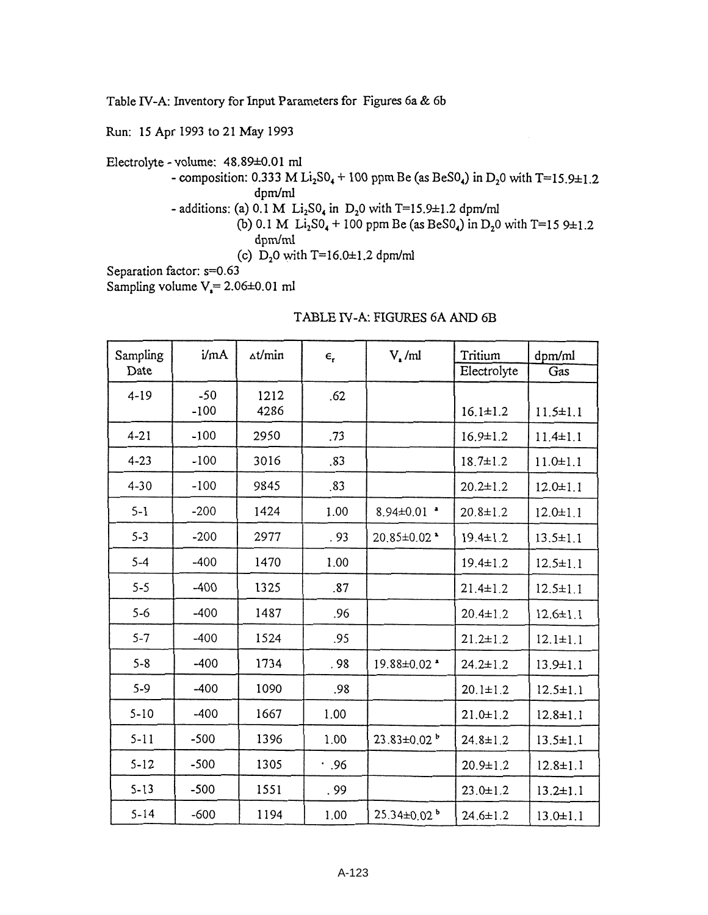Table IV-A: Inventory for Input Parameters for Figures 6a & 6b

Run: 15 Apr 1993 to 21 May 1993

Electrolyte - volume: 48.89±0.01 ml

- composition: 0.333 M Li<sub>2</sub>S0<sub>4</sub> + 100 ppm Be (as BeS0<sub>4</sub>) in D<sub>2</sub>0 with T=15.9±1.2 dpm/ml
- additions: (a) 0.1 M  $Li_2SO_4$  in  $D_2O$  with T=15.9±1.2 dpm/ml
	- (b) 0.1 M  $Li_2SO_4 + 100$  ppm Be (as BeS0<sub>4</sub>) in D<sub>2</sub>0 with T=15 9±1.2 dpm/ml
		- (c)  $D_2$ 0 with T=16.0±1.2 dpm/ml

Separation factor: s=0.63 Sampling volume  $V_s = 2.06 \pm 0.01$  ml

| Sampling<br>Date | i/mA            | $\Delta t$ /min | $\boldsymbol{\epsilon}_{\text{r}}$ | $V_{\bullet}/ml$              | Tritium<br>Electrolyte | dpm/ml<br>Gas  |
|------------------|-----------------|-----------------|------------------------------------|-------------------------------|------------------------|----------------|
| $4 - 19$         | $-50$<br>$-100$ | 1212<br>4286    | .62                                |                               | $16.1 \pm 1.2$         | $11.5 \pm 1.1$ |
| $4 - 21$         | $-100$          | 2950            | .73                                |                               | $16.9 \pm 1.2$         | $11.4 \pm 1.1$ |
| $4 - 23$         | $-100$          | 3016            | .83                                |                               | $18.7 \pm 1.2$         | $11.0 \pm 1.1$ |
| $4 - 30$         | $-100$          | 9845            | .83                                |                               | $20.2 \pm 1.2$         | $12.0 \pm 1.1$ |
| $5 - 1$          | $-200$          | 1424            | 1.00                               | $8.94\pm0.01$ *               | $20.8 \pm 1.2$         | $12.0 \pm 1.1$ |
| $5 - 3$          | $-200$          | 2977            | . 93                               | 20.85±0.02 *                  | $19.4 \pm 1.2$         | $13.5 \pm 1.1$ |
| $5 - 4$          | $-400$          | 1470            | 1.00                               |                               | $19.4 \pm 1.2$         | $12.5 \pm 1.1$ |
| $5 - 5$          | $-400$          | 1325            | .87                                |                               | $21.4 \pm 1.2$         | $12.5 \pm 1.1$ |
| $5-6$            | $-400$          | 1487            | .96                                |                               | $20.4 \pm 1.2$         | $12.6 \pm 1.1$ |
| $5 - 7$          | $-400$          | 1524            | .95                                |                               | $21.2 \pm 1.2$         | $12.1 \pm 1.1$ |
| $5 - 8$          | $-400$          | 1734            | . 98                               | $19.88 \pm 0.02$ <sup>*</sup> | $24.2 \pm 1.2$         | $13.9 \pm 1.1$ |
| $5 - 9$          | $-400$          | 1090            | .98                                |                               | $20.1 \pm 1.2$         | $12.5 \pm 1.1$ |
| $5 - 10$         | $-400$          | 1667            | 1.00                               |                               | $21.0 \pm 1.2$         | $12.8 \pm 1.1$ |
| $5 - 11$         | $-500$          | 1396            | 1.00                               | $23.83 \pm 0.02$ <sup>b</sup> | $24.8 \pm 1.2$         | $13.5 \pm 1.1$ |
| $5 - 12$         | $-500$          | 1305            | .96                                |                               | $20.9 \pm 1.2$         | $12.8 \pm 1.1$ |
| $5 - 13$         | $-500$          | 1551            | . 99                               |                               | $23.0 \pm 1.2$         | $13.2 \pm 1.1$ |
| $5 - 14$         | $-600$          | 1194            | 1.00                               | $25.34\pm0.02$ <sup>b</sup>   | $24.6 \pm 1.2$         | $13.0 \pm 1.1$ |

# TABLE IV-A: FIGURES 6A AND 6B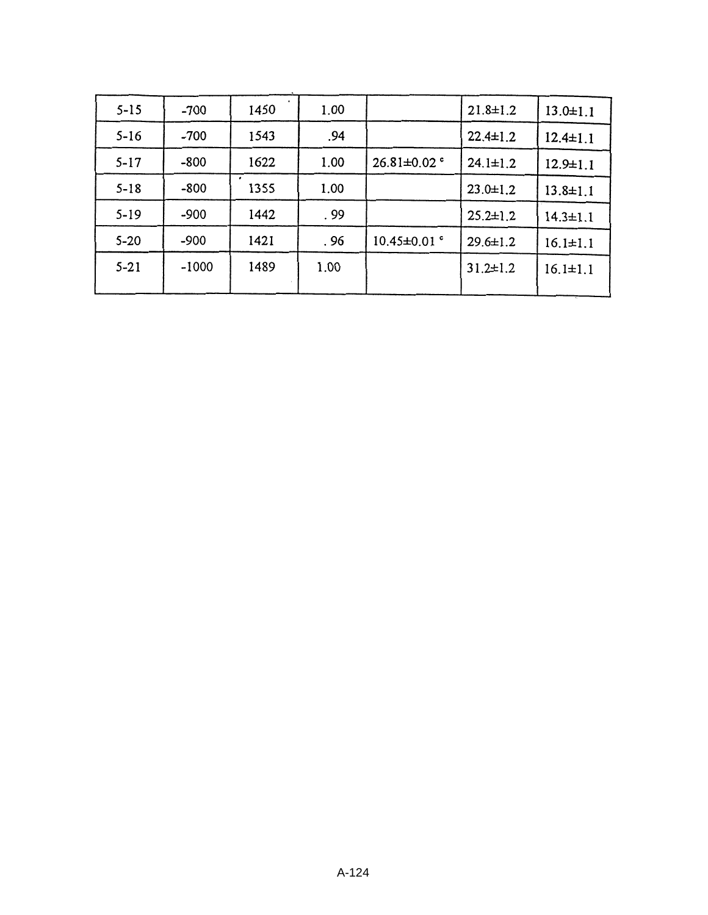| $-700$  | 1450 | 1.00 |                    | $21.8 \pm 1.2$ | $13.0 \pm 1.1$ |
|---------|------|------|--------------------|----------------|----------------|
| $-700$  | 1543 | .94  |                    | $22.4 \pm 1.2$ | $12.4 \pm 1.1$ |
| $-800$  | 1622 | 1.00 | $26.81 \pm 0.02$ ° | $24.1 \pm 1.2$ | $12.9 \pm 1.1$ |
| $-800$  | 1355 | 1.00 |                    | $23.0 \pm 1.2$ | $13.8 \pm 1.1$ |
| $-900$  | 1442 | . 99 |                    | $25.2 \pm 1.2$ | $14.3 \pm 1.1$ |
| $-900$  | 1421 | . 96 | $10.45 \pm 0.01$ ° | $29.6 \pm 1.2$ | $16.1 \pm 1.1$ |
| $-1000$ | 1489 | 1.00 |                    | $31.2 \pm 1.2$ | $16.1 \pm 1.1$ |
|         |      |      |                    |                |                |